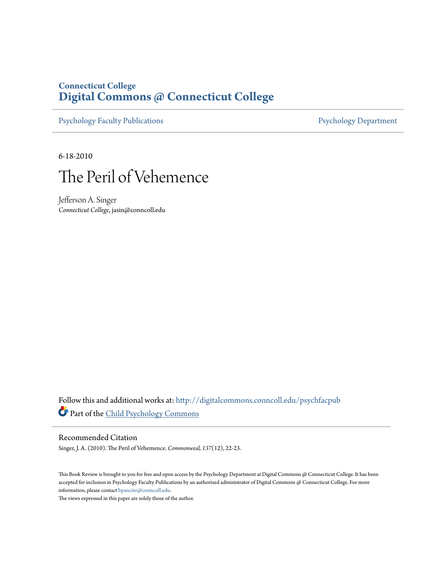### **Connecticut College [Digital Commons @ Connecticut College](http://digitalcommons.conncoll.edu?utm_source=digitalcommons.conncoll.edu%2Fpsychfacpub%2F11&utm_medium=PDF&utm_campaign=PDFCoverPages)**

[Psychology Faculty Publications](http://digitalcommons.conncoll.edu/psychfacpub?utm_source=digitalcommons.conncoll.edu%2Fpsychfacpub%2F11&utm_medium=PDF&utm_campaign=PDFCoverPages) **[Psychology Department](http://digitalcommons.conncoll.edu/psychology?utm_source=digitalcommons.conncoll.edu%2Fpsychfacpub%2F11&utm_medium=PDF&utm_campaign=PDFCoverPages)** 

6-18-2010



Jefferson A. Singer *Connecticut College*, jasin@conncoll.edu

Follow this and additional works at: [http://digitalcommons.conncoll.edu/psychfacpub](http://digitalcommons.conncoll.edu/psychfacpub?utm_source=digitalcommons.conncoll.edu%2Fpsychfacpub%2F11&utm_medium=PDF&utm_campaign=PDFCoverPages) Part of the [Child Psychology Commons](http://network.bepress.com/hgg/discipline/1023?utm_source=digitalcommons.conncoll.edu%2Fpsychfacpub%2F11&utm_medium=PDF&utm_campaign=PDFCoverPages)

#### Recommended Citation

Singer, J. A. (2010). The Peril of Vehemence. *Commonweal, 137*(12), 22-23.

This Book Review is brought to you for free and open access by the Psychology Department at Digital Commons @ Connecticut College. It has been accepted for inclusion in Psychology Faculty Publications by an authorized administrator of Digital Commons @ Connecticut College. For more information, please contact [bpancier@conncoll.edu](mailto:bpancier@conncoll.edu).

The views expressed in this paper are solely those of the author.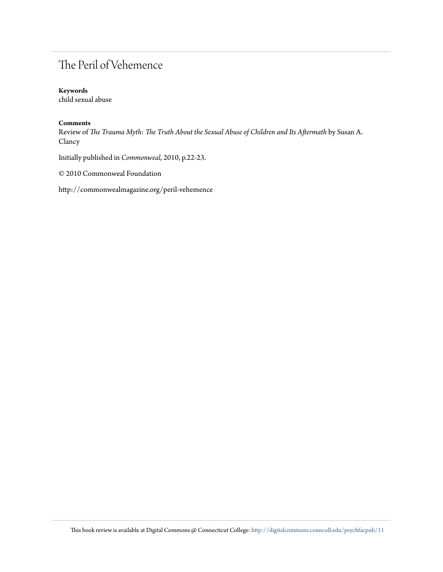# The Peril of Vehemence

#### **Keywords**

child sexual abuse

#### **Comments**

Review of *The Trauma Myth: The Truth About the Sexual Abuse of Children and Its Aftermath* by Susan A. Clancy

Initially published in *Commonweal,* 2010, p.22-23.

© 2010 Commonweal Foundation

http://commonwealmagazine.org/peril-vehemence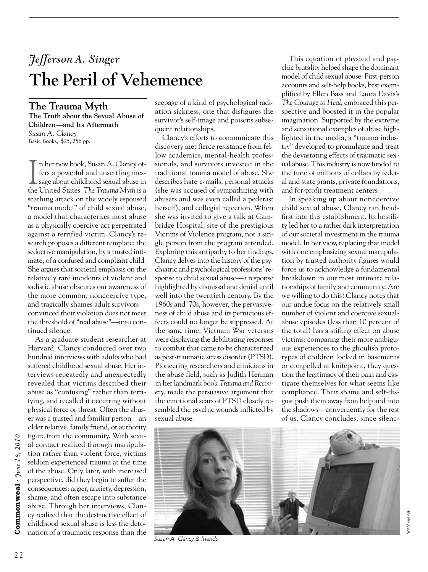# *Jefferson A. Singer* The Peril of Vehemence

**The Trauma Myth The Truth about the Sexual Abuse of Children—and Its Aftermath** *Susan A. Clancy*  Basic Books, \$25, 256 pp.

In her new book, Susan A. Clancy of-<br>fers a powerful and unsettling mes-<br>sage about childhood sexual abuse in<br>the United States. The Trauma Myth is a n her new book, Susan A. Clancy offers a powerful and unsettling message about childhood sexual abuse in scathing attack on the widely espoused "trauma model" of child sexual abuse, a model that characterizes most abuse as a physically coercive act perpetrated against a terrified victim. Clancy's research proposes a different template: the seductive manipulation, by a trusted intimate, of a confused and compliant child. She argues that societal emphasis on the relatively rare incidents of violent and sadistic abuse obscures our awareness of the more common, noncoercive type, and tragically shames adult survivors convinced their violation does not meet the threshold of "real abuse"—into continued silence.

As a graduate-student researcher at Harvard, Clancy conducted over two hundred interviews with adults who had suffered childhood sexual abuse. Her interviews repeatedly and unexpectedly revealed that victims described their abuse as "confusing" rather than terrifying, and recalled it occurring without physical force or threat. Often the abuser was a trusted and familiar person—an older relative, family friend, or authority figure from the community. With sexual contact realized through manipulation rather than violent force, victims seldom experienced trauma at the time of the abuse. Only later, with increased perspective, did they begin to suffer the consequences: anger, anxiety, depression, shame, and often escape into substance abuse. Through her interviews, Clancy realized that the destructive effect of childhood sexual abuse is less the detonation of a traumatic response than the

seepage of a kind of psychological radiation sickness, one that disfigures the survivor's self-image and poisons subsequent relationships.

Clancy's efforts to communicate this discovery met fierce resistance from fellow academics, mental-health professionals, and survivors invested in the traditional trauma model of abuse. She describes hate e-mails, personal attacks (she was accused of sympathizing with abusers and was even called a pederast herself), and collegial rejection. When she was invited to give a talk at Cambridge Hospital, site of the prestigious Victims of Violence program, not a single person from the program attended. Exploring this antipathy to her findings, Clancy delves into the history of the psychiatric and psychological professions' response to child sexual abuse—a response highlighted by dismissal and denial until well into the twentieth century. By the 1960s and '70s, however, the pervasiveness of child abuse and its pernicious effects could no longer be suppressed. At the same time, Vietnam War veterans were displaying the debilitating responses to combat that came to be characterized as post-traumatic stress disorder (PTSD). Pioneering researchers and clinicians in the abuse field, such as Judith Herman in her landmark book *Trauma and Recovery*, made the persuasive argument that the emotional scars of PTSD closely resembled the psychic wounds inflicted by sexual abuse.

This equation of physical and psychic brutality helped shape the dominant model of child sexual abuse. First-person accounts and self-help books, best exemplified by Ellen Bass and Laura Davis's *The Courage to Heal*, embraced this perspective and boosted it in the popular imagination. Supported by the extreme and sensational examples of abuse highlighted in the media, a "trauma industry" developed to promulgate and treat the devastating effects of traumatic sexual abuse. This industry is now funded to the tune of millions of dollars by federal and state grants, private foundations, and for-profit treatment centers.

In speaking up about noncoercive child sexual abuse, Clancy ran headfirst into this establishment. Its hostility led her to a rather dark interpretation of our societal investment in the trauma model. In her view, replacing that model with one emphasizing sexual manipulation by trusted authority figures would force us to acknowledge a fundamental breakdown in our most intimate relationships of family and community. Are we willing to do this? Clancy notes that our undue focus on the relatively small number of violent and coercive sexualabuse episodes (less than 10 percent of the total) has a stifling effect on abuse victims: comparing their more ambiguous experiences to the ghoulish prototypes of children locked in basements or compelled at knifepoint, they question the legitimacy of their pain and castigate themselves for what seems like compliance. Their shame and self-disgust push them away from help and into the shadows—conveniently for the rest of us, Clancy concludes, since silenc-



*Susan A. Clancy & friends*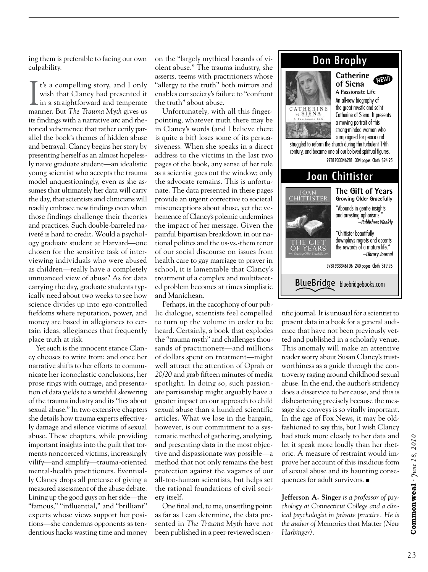ing them is preferable to facing our own culpability.

 $\prod$  t's a compelling story, and I only<br>wish that Clancy had presented it<br>in a straightforward and temperate t's a compelling story, and I only wish that Clancy had presented it manner. But *The Trauma Myth* gives us its findings with a narrative arc and rhetorical vehemence that rather eerily parallel the book's themes of hidden abuse and betrayal. Clancy begins her story by presenting herself as an almost hopelessly naive graduate student—an idealistic young scientist who accepts the trauma model unquestioningly, even as she assumes that ultimately her data will carry the day, that scientists and clinicians will readily embrace new findings even when those findings challenge their theories and practices. Such double-barreled naiveté is hard to credit. Would a psychology graduate student at Harvard—one chosen for the sensitive task of interviewing individuals who were abused as children—really have a completely unnuanced view of abuse? As for data carrying the day, graduate students typically need about two weeks to see how science divides up into ego-controlled fiefdoms where reputation, power, and money are based in allegiances to certain ideas, allegiances that frequently place truth at risk.

Yet such is the innocent stance Clancy chooses to write from; and once her narrative shifts to her efforts to communicate her iconoclastic conclusions, her prose rings with outrage, and presentation of data yields to a wrathful skewering of the trauma industry and its "lies about sexual abuse." In two extensive chapters she details how trauma experts effectively damage and silence victims of sexual abuse. These chapters, while providing important insights into the guilt that torments noncoerced victims, increasingly vilify—and simplify—trauma-oriented mental-health practitioners. Eventually Clancy drops all pretense of giving a measured assessment of the abuse debate. Lining up the good guys on her side—the "famous," "influential," and "brilliant" experts whose views support her positions—she condemns opponents as tendentious hacks wasting time and money

on the "largely mythical hazards of violent abuse." The trauma industry, she asserts, teems with practitioners whose "allergy to the truth" both mirrors and enables our society's failure to "confront the truth" about abuse.

Unfortunately, with all this fingerpointing, whatever truth there may be in Clancy's words (and I believe there is quite a bit) loses some of its persuasiveness. When she speaks in a direct address to the victims in the last two pages of the book, any sense of her role as a scientist goes out the window; only the advocate remains. This is unfortunate. The data presented in these pages provide an urgent corrective to societal misconceptions about abuse, yet the vehemence of Clancy's polemic undermines the impact of her message. Given the painful bipartisan breakdown in our national politics and the us-vs.-them tenor of our social discourse on issues from health care to gay marriage to prayer in school, it is lamentable that Clancy's treatment of a complex and multifaceted problem becomes at times simplistic and Manichean.

Perhaps, in the cacophony of our public dialogue, scientists feel compelled to turn up the volume in order to be heard. Certainly, a book that explodes the "trauma myth" and challenges thousands of practitioners—and millions of dollars spent on treatment—might well attract the attention of Oprah or *20/20* and grab fifteen minutes of media spotlight. In doing so, such passionate partisanship might arguably have a greater impact on our approach to child sexual abuse than a hundred scientific articles. What we lose in the bargain, however, is our commitment to a systematic method of gathering, analyzing, and presenting data in the most objective and dispassionate way possible—a method that not only remains the best protection against the vagaries of our all-too-human scientists, but helps set the rational foundations of civil society itself.

One final and, to me, unsettling point: as far as I can determine, the data presented in *The Trauma Myth* have not been published in a peer-reviewed scien-

## Don Brophy

**Catherine**



**of Siena A Passionate Life** An all-new biography of the great mystic and saint Catherine of Siena. It presents a moving portrait of this strong-minded woman who campaigned for peace and NEW!

struggled to reform the church during the turbulent 14th century, and became one of our beloved spiritual figures. 9781933346281 304 pages Cloth \$24.95



tific journal. It is unusual for a scientist to present data in a book for a general audience that have not been previously vetted and published in a scholarly venue. This anomaly will make an attentive reader worry about Susan Clancy's trustworthiness as a guide through the controversy raging around childhood sexual abuse. In the end, the author's stridency does a disservice to her cause, and this is disheartening precisely because the message she conveys is so vitally important. In the age of Fox News, it may be oldfashioned to say this, but I wish Clancy had stuck more closely to her data and let it speak more loudly than her rhetoric. A measure of restraint would improve her account of this insidious form of sexual abuse and its haunting consequences for adult survivors.  $\blacksquare$ 

**Jefferson A. Singer** *is a professor of psychology at Connecticut College and a clinical psychologist in private practice. He is the author of* Memories that Matter *(New Harbinger).*